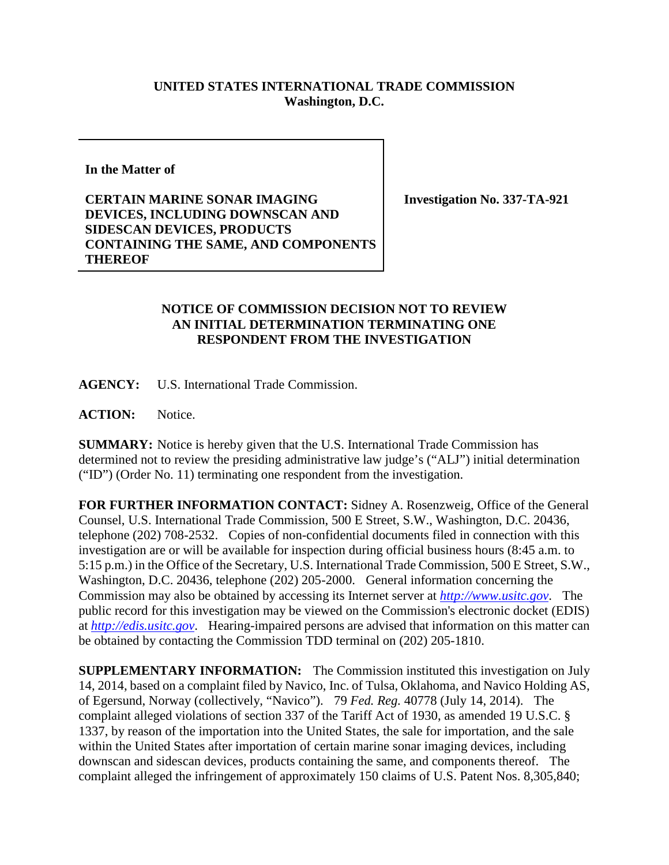## **UNITED STATES INTERNATIONAL TRADE COMMISSION Washington, D.C.**

**In the Matter of**

**CERTAIN MARINE SONAR IMAGING DEVICES, INCLUDING DOWNSCAN AND SIDESCAN DEVICES, PRODUCTS CONTAINING THE SAME, AND COMPONENTS THEREOF**

**Investigation No. 337-TA-921**

## **NOTICE OF COMMISSION DECISION NOT TO REVIEW AN INITIAL DETERMINATION TERMINATING ONE RESPONDENT FROM THE INVESTIGATION**

**AGENCY:** U.S. International Trade Commission.

**ACTION:** Notice.

**SUMMARY:** Notice is hereby given that the U.S. International Trade Commission has determined not to review the presiding administrative law judge's ("ALJ") initial determination ("ID") (Order No. 11) terminating one respondent from the investigation.

**FOR FURTHER INFORMATION CONTACT:** Sidney A. Rosenzweig, Office of the General Counsel, U.S. International Trade Commission, 500 E Street, S.W., Washington, D.C. 20436, telephone (202) 708-2532. Copies of non-confidential documents filed in connection with this investigation are or will be available for inspection during official business hours (8:45 a.m. to 5:15 p.m.) in the Office of the Secretary, U.S. International Trade Commission, 500 E Street, S.W., Washington, D.C. 20436, telephone (202) 205-2000. General information concerning the Commission may also be obtained by accessing its Internet server at *[http://www.usitc.gov](http://www.usitc.gov/)*. The public record for this investigation may be viewed on the Commission's electronic docket (EDIS) at *[http://edis.usitc.gov](http://edis.usitc.gov/)*. Hearing-impaired persons are advised that information on this matter can be obtained by contacting the Commission TDD terminal on (202) 205-1810.

**SUPPLEMENTARY INFORMATION:** The Commission instituted this investigation on July 14, 2014, based on a complaint filed by Navico, Inc. of Tulsa, Oklahoma, and Navico Holding AS, of Egersund, Norway (collectively, "Navico"). 79 *Fed. Reg.* 40778 (July 14, 2014). The complaint alleged violations of section 337 of the Tariff Act of 1930, as amended 19 U.S.C. § 1337, by reason of the importation into the United States, the sale for importation, and the sale within the United States after importation of certain marine sonar imaging devices, including downscan and sidescan devices, products containing the same, and components thereof. The complaint alleged the infringement of approximately 150 claims of U.S. Patent Nos. 8,305,840;